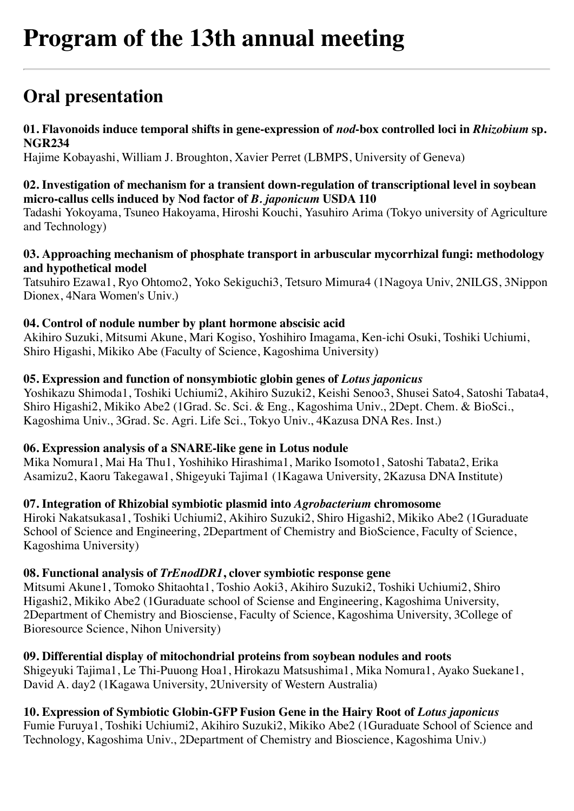# **Oral presentation**

## **01. Flavonoids induce temporal shifts in gene-expression of** *nod***-box controlled loci in** *Rhizobium* **sp. NGR234**

Hajime Kobayashi, William J. Broughton, Xavier Perret (LBMPS, University of Geneva)

#### **02. Investigation of mechanism for a transient down-regulation of transcriptional level in soybean micro-callus cells induced by Nod factor of** *B. japonicum* **USDA 110**

Tadashi Yokoyama, Tsuneo Hakoyama, Hiroshi Kouchi, Yasuhiro Arima (Tokyo university of Agriculture and Technology)

#### **03. Approaching mechanism of phosphate transport in arbuscular mycorrhizal fungi: methodology and hypothetical model**

Tatsuhiro Ezawa1, Ryo Ohtomo2, Yoko Sekiguchi3, Tetsuro Mimura4 (1Nagoya Univ, 2NILGS, 3Nippon Dionex, 4Nara Women's Univ.)

### **04. Control of nodule number by plant hormone abscisic acid**

Akihiro Suzuki, Mitsumi Akune, Mari Kogiso, Yoshihiro Imagama, Ken-ichi Osuki, Toshiki Uchiumi, Shiro Higashi, Mikiko Abe (Faculty of Science, Kagoshima University)

### **05. Expression and function of nonsymbiotic globin genes of** *Lotus japonicus*

Yoshikazu Shimoda1, Toshiki Uchiumi2, Akihiro Suzuki2, Keishi Senoo3, Shusei Sato4, Satoshi Tabata4, Shiro Higashi2, Mikiko Abe2 (1Grad. Sc. Sci. & Eng., Kagoshima Univ., 2Dept. Chem. & BioSci., Kagoshima Univ., 3Grad. Sc. Agri. Life Sci., Tokyo Univ., 4Kazusa DNA Res. Inst.)

### **06. Expression analysis of a SNARE-like gene in Lotus nodule**

Mika Nomura1, Mai Ha Thu1, Yoshihiko Hirashima1, Mariko Isomoto1, Satoshi Tabata2, Erika Asamizu2, Kaoru Takegawa1, Shigeyuki Tajima1 (1Kagawa University, 2Kazusa DNA Institute)

### **07. Integration of Rhizobial symbiotic plasmid into** *Agrobacterium* **chromosome**

Hiroki Nakatsukasa1, Toshiki Uchiumi2, Akihiro Suzuki2, Shiro Higashi2, Mikiko Abe2 (1Guraduate School of Science and Engineering, 2Department of Chemistry and BioScience, Faculty of Science, Kagoshima University)

### **08. Functional analysis of** *TrEnodDR1***, clover symbiotic response gene**

Mitsumi Akune1, Tomoko Shitaohta1, Toshio Aoki3, Akihiro Suzuki2, Toshiki Uchiumi2, Shiro Higashi2, Mikiko Abe2 (1Guraduate school of Sciense and Engineering, Kagoshima University, 2Department of Chemistry and Biosciense, Faculty of Science, Kagoshima University, 3College of Bioresource Science, Nihon University)

### **09. Differential display of mitochondrial proteins from soybean nodules and roots**

Shigeyuki Tajima1, Le Thi-Puuong Hoa1, Hirokazu Matsushima1, Mika Nomura1, Ayako Suekane1, David A. day2 (1Kagawa University, 2University of Western Australia)

# 10. Expression of Symbiotic Globin-GFP Fusion Gene in the Hairy Root of *Lotus japonicus*

Fumie Furuya1, Toshiki Uchiumi2, Akihiro Suzuki2, Mikiko Abe2 (1Guraduate School of Science and Technology, Kagoshima Univ., 2Department of Chemistry and Bioscience, Kagoshima Univ.)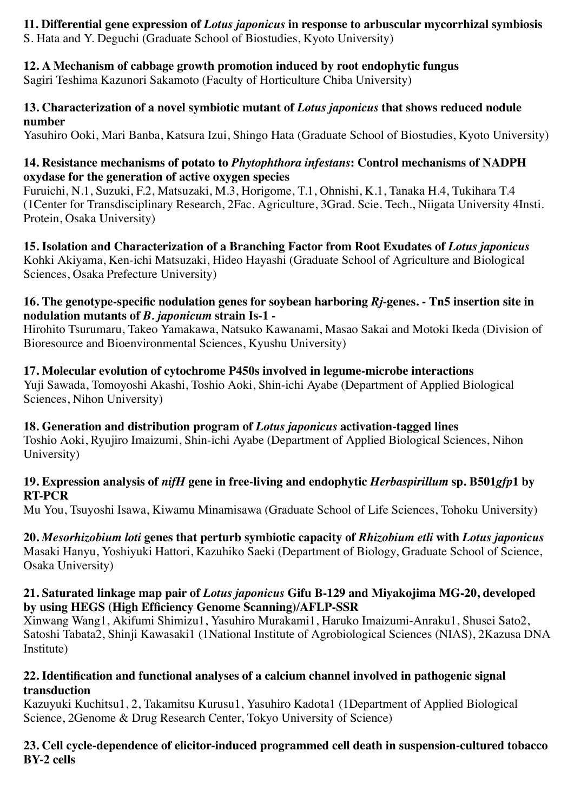# **11. Differential gene expression of** *Lotus japonicus* **in response to arbuscular mycorrhizal symbiosis**

S. Hata and Y. Deguchi (Graduate School of Biostudies, Kyoto University)

# **12. A Mechanism of cabbage growth promotion induced by root endophytic fungus**

Sagiri Teshima Kazunori Sakamoto (Faculty of Horticulture Chiba University)

# **13. Characterization of a novel symbiotic mutant of** *Lotus japonicus* **that shows reduced nodule number**

Yasuhiro Ooki, Mari Banba, Katsura Izui, Shingo Hata (Graduate School of Biostudies, Kyoto University)

# **14. Resistance mechanisms of potato to** *Phytophthora infestans***: Control mechanisms of NADPH oxydase for the generation of active oxygen species**

Furuichi, N.1, Suzuki, F.2, Matsuzaki, M.3, Horigome, T.1, Ohnishi, K.1, Tanaka H.4, Tukihara T.4 (1Center for Transdisciplinary Research, 2Fac. Agriculture, 3Grad. Scie. Tech., Niigata University 4Insti. Protein, Osaka University)

**15. Isolation and Characterization of a Branching Factor from Root Exudates of** *Lotus japonicus* Kohki Akiyama, Ken-ichi Matsuzaki, Hideo Hayashi (Graduate School of Agriculture and Biological Sciences, Osaka Prefecture University)

# **16. The genotype-specific nodulation genes for soybean harboring** *Rj***-genes. - Tn5 insertion site in nodulation mutants of** *B. japonicum* **strain Is-1 -**

Hirohito Tsurumaru, Takeo Yamakawa, Natsuko Kawanami, Masao Sakai and Motoki Ikeda (Division of Bioresource and Bioenvironmental Sciences, Kyushu University)

# **17. Molecular evolution of cytochrome P450s involved in legume-microbe interactions**

Yuji Sawada, Tomoyoshi Akashi, Toshio Aoki, Shin-ichi Ayabe (Department of Applied Biological Sciences, Nihon University)

# **18. Generation and distribution program of** *Lotus japonicus* **activation-tagged lines**

Toshio Aoki, Ryujiro Imaizumi, Shin-ichi Ayabe (Department of Applied Biological Sciences, Nihon University)

# **19. Expression analysis of** *nifH* **gene in free-living and endophytic** *Herbaspirillum* **sp. B501***gfp***1 by RT-PCR**

Mu You, Tsuyoshi Isawa, Kiwamu Minamisawa (Graduate School of Life Sciences, Tohoku University)

#### **20.** *Mesorhizobium loti* **genes that perturb symbiotic capacity of** *Rhizobium etli* **with** *Lotus japonicus* Masaki Hanyu, Yoshiyuki Hattori, Kazuhiko Saeki (Department of Biology, Graduate School of Science, Osaka University)

# **21. Saturated linkage map pair of** *Lotus japonicus* **Gifu B-129 and Miyakojima MG-20, developed by using HEGS (High Efficiency Genome Scanning)/AFLP-SSR**

Xinwang Wang1, Akifumi Shimizu1, Yasuhiro Murakami1, Haruko Imaizumi-Anraku1, Shusei Sato2, Satoshi Tabata2, Shinji Kawasaki1 (1National Institute of Agrobiological Sciences (NIAS), 2Kazusa DNA Institute)

# **22. Identification and functional analyses of a calcium channel involved in pathogenic signal transduction**

Kazuyuki Kuchitsu1, 2, Takamitsu Kurusu1, Yasuhiro Kadota1 (1Department of Applied Biological Science, 2Genome & Drug Research Center, Tokyo University of Science)

# **23. Cell cycle-dependence of elicitor-induced programmed cell death in suspension-cultured tobacco BY-2 cells**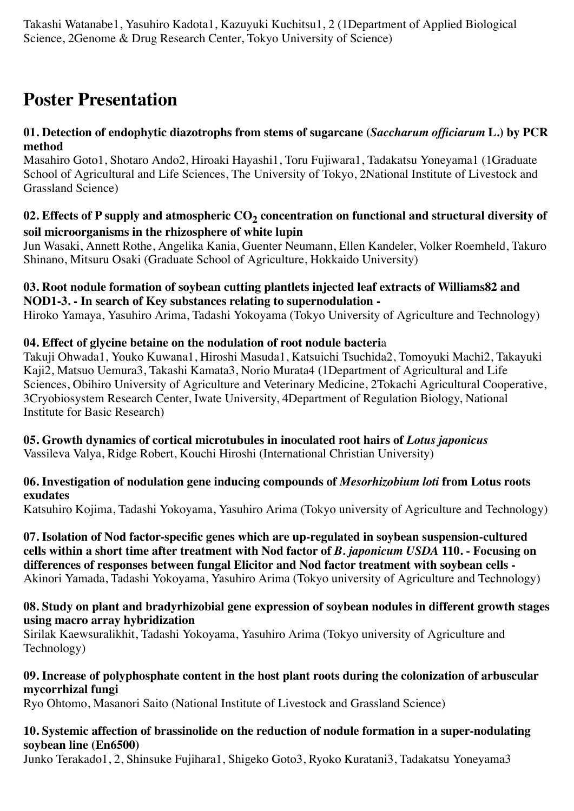Takashi Watanabe1, Yasuhiro Kadota1, Kazuyuki Kuchitsu1, 2 (1Department of Applied Biological Science, 2Genome & Drug Research Center, Tokyo University of Science)

# **Poster Presentation**

## **01. Detection of endophytic diazotrophs from stems of sugarcane (***Saccharum officiarum* **L.) by PCR method**

Masahiro Goto1, Shotaro Ando2, Hiroaki Hayashi1, Toru Fujiwara1, Tadakatsu Yoneyama1 (1Graduate School of Agricultural and Life Sciences, The University of Tokyo, 2National Institute of Livestock and Grassland Science)

# 02. Effects of P supply and atmospheric CO<sub>2</sub> concentration on functional and structural diversity of **soil microorganisms in the rhizosphere of white lupin**

Jun Wasaki, Annett Rothe, Angelika Kania, Guenter Neumann, Ellen Kandeler, Volker Roemheld, Takuro Shinano, Mitsuru Osaki (Graduate School of Agriculture, Hokkaido University)

#### **03. Root nodule formation of soybean cutting plantlets injected leaf extracts of Williams82 and NOD1-3. - In search of Key substances relating to supernodulation -**

Hiroko Yamaya, Yasuhiro Arima, Tadashi Yokoyama (Tokyo University of Agriculture and Technology)

# **04. Effect of glycine betaine on the nodulation of root nodule bacteri**a

Takuji Ohwada1, Youko Kuwana1, Hiroshi Masuda1, Katsuichi Tsuchida2, Tomoyuki Machi2, Takayuki Kaji2, Matsuo Uemura3, Takashi Kamata3, Norio Murata4 (1Department of Agricultural and Life Sciences, Obihiro University of Agriculture and Veterinary Medicine, 2Tokachi Agricultural Cooperative, 3Cryobiosystem Research Center, Iwate University, 4Department of Regulation Biology, National Institute for Basic Research)

#### **05. Growth dynamics of cortical microtubules in inoculated root hairs of** *Lotus japonicus* Vassileva Valya, Ridge Robert, Kouchi Hiroshi (International Christian University)

### **06. Investigation of nodulation gene inducing compounds of** *Mesorhizobium loti* **from Lotus roots exudates**

Katsuhiro Kojima, Tadashi Yokoyama, Yasuhiro Arima (Tokyo university of Agriculture and Technology)

**07. Isolation of Nod factor-specific genes which are up-regulated in soybean suspension-cultured cells within a short time after treatment with Nod factor of** *B. japonicum USDA* **110. - Focusing on differences of responses between fungal Elicitor and Nod factor treatment with soybean cells -** Akinori Yamada, Tadashi Yokoyama, Yasuhiro Arima (Tokyo university of Agriculture and Technology)

### **08. Study on plant and bradyrhizobial gene expression of soybean nodules in different growth stages using macro array hybridization**

Sirilak Kaewsuralikhit, Tadashi Yokoyama, Yasuhiro Arima (Tokyo university of Agriculture and Technology)

### **09. Increase of polyphosphate content in the host plant roots during the colonization of arbuscular mycorrhizal fungi**

Ryo Ohtomo, Masanori Saito (National Institute of Livestock and Grassland Science)

# **10. Systemic affection of brassinolide on the reduction of nodule formation in a super-nodulating soybean line (En6500)**

Junko Terakado1, 2, Shinsuke Fujihara1, Shigeko Goto3, Ryoko Kuratani3, Tadakatsu Yoneyama3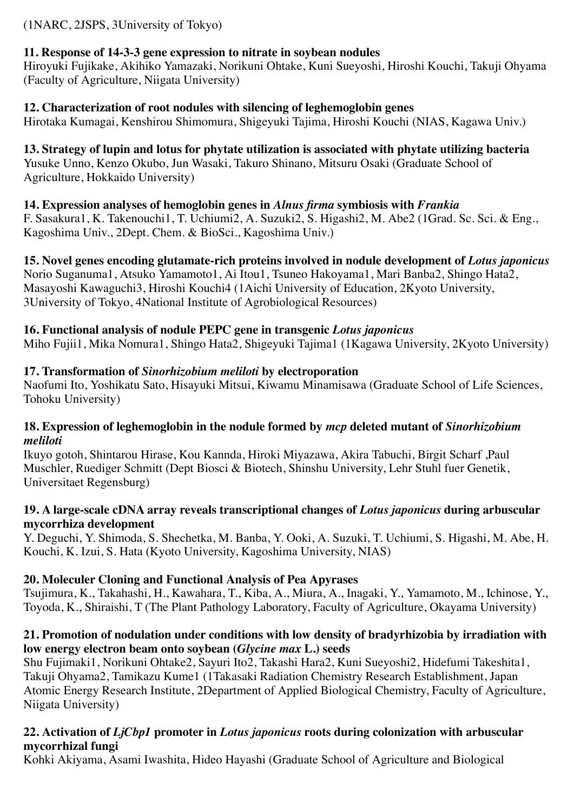(1NARC, 2JSPS, 3University of Tokyo)

# **11. Response of 14-3-3 gene expression to nitrate in soybean nodules**

Hiroyuki Fujikake, Akihiko Yamazaki, Norikuni Ohtake, Kuni Sueyoshi, Hiroshi Kouchi, Takuji Ohyama (Faculty of Agriculture, Niigata University)

# **12. Characterization of root nodules with silencing of leghemoglobin genes**

Hirotaka Kumagai, Kenshirou Shimomura, Shigeyuki Tajima, Hiroshi Kouchi (NIAS, Kagawa Univ.)

# **13. Strategy of lupin and lotus for phytate utilization is associated with phytate utilizing bacteria**

Yusuke Unno, Kenzo Okubo, Jun Wasaki, Takuro Shinano, Mitsuru Osaki (Graduate School of Agriculture, Hokkaido University)

# **14. Expression analyses of hemoglobin genes in** *Alnus firma* **symbiosis with** *Frankia*

F. Sasakura1, K. Takenouchi1, T. Uchiumi2, A. Suzuki2, S. Higashi2, M. Abe2 (1Grad. Sc. Sci. & Eng., Kagoshima Univ., 2Dept. Chem. & BioSci., Kagoshima Univ.)

**15. Novel genes encoding glutamate-rich proteins involved in nodule development of** *Lotus japonicus* Norio Suganuma1, Atsuko Yamamoto1, Ai Itou1, Tsuneo Hakoyama1, Mari Banba2, Shingo Hata2, Masayoshi Kawaguchi3, Hiroshi Kouchi4 (1Aichi University of Education, 2Kyoto University, 3University of Tokyo, 4National Institute of Agrobiological Resources)

# **16. Functional analysis of nodule PEPC gene in transgenic** *Lotus japonicus*

Miho Fujii1, Mika Nomura1, Shingo Hata2, Shigeyuki Tajima1 (1Kagawa University, 2Kyoto University)

# **17. Transformation of** *Sinorhizobium meliloti* **by electroporation**

Naofumi Ito, Yoshikatu Sato, Hisayuki Mitsui, Kiwamu Minamisawa (Graduate School of Life Sciences, Tohoku University)

#### **18. Expression of leghemoglobin in the nodule formed by** *mcp* **deleted mutant of** *Sinorhizobium meliloti*

Ikuyo gotoh, Shintarou Hirase, Kou Kannda, Hiroki Miyazawa, Akira Tabuchi, Birgit Scharf ,Paul Muschler, Ruediger Schmitt (Dept Biosci & Biotech, Shinshu University, Lehr Stuhl fuer Genetik, Universitaet Regensburg)

### **19. A large-scale cDNA array reveals transcriptional changes of** *Lotus japonicus* **during arbuscular mycorrhiza development**

Y. Deguchi, Y. Shimoda, S. Shechetka, M. Banba, Y. Ooki, A. Suzuki, T. Uchiumi, S. Higashi, M. Abe, H. Kouchi, K. Izui, S. Hata (Kyoto University, Kagoshima University, NIAS)

# **20. Moleculer Cloning and Functional Analysis of Pea Apyrases**

Tsujimura, K., Takahashi, H., Kawahara, T., Kiba, A., Miura, A., Inagaki, Y., Yamamoto, M., Ichinose, Y., Toyoda, K., Shiraishi, T (The Plant Pathology Laboratory, Faculty of Agriculture, Okayama University)

# **21. Promotion of nodulation under conditions with low density of bradyrhizobia by irradiation with low energy electron beam onto soybean (***Glycine max* **L.) seeds**

Shu Fujimaki1, Norikuni Ohtake2, Sayuri Ito2, Takashi Hara2, Kuni Sueyoshi2, Hidefumi Takeshita1, Takuji Ohyama2, Tamikazu Kume1 (1Takasaki Radiation Chemistry Research Establishment, Japan Atomic Energy Research Institute, 2Department of Applied Biological Chemistry, Faculty of Agriculture, Niigata University)

# **22. Activation of** *LjCbp1* **promoter in** *Lotus japonicus* **roots during colonization with arbuscular mycorrhizal fungi**

Kohki Akiyama, Asami Iwashita, Hideo Hayashi (Graduate School of Agriculture and Biological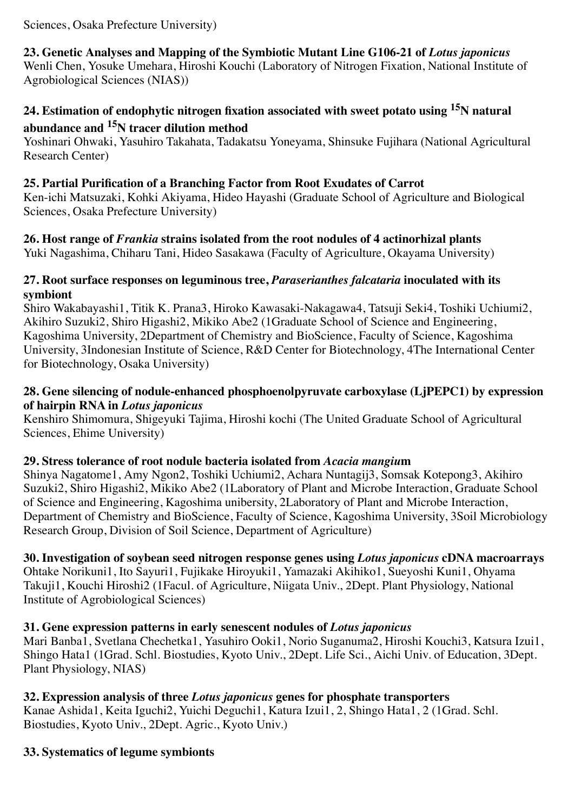## Sciences, Osaka Prefecture University)

**23. Genetic Analyses and Mapping of the Symbiotic Mutant Line G106-21 of** *Lotus japonicus* Wenli Chen, Yosuke Umehara, Hiroshi Kouchi (Laboratory of Nitrogen Fixation, National Institute of Agrobiological Sciences (NIAS))

# **24. Estimation of endophytic nitrogen fixation associated with sweet potato using 15N natural abundance and 15N tracer dilution method**

Yoshinari Ohwaki, Yasuhiro Takahata, Tadakatsu Yoneyama, Shinsuke Fujihara (National Agricultural Research Center)

## **25. Partial Purification of a Branching Factor from Root Exudates of Carrot**

Ken-ichi Matsuzaki, Kohki Akiyama, Hideo Hayashi (Graduate School of Agriculture and Biological Sciences, Osaka Prefecture University)

# **26. Host range of** *Frankia* **strains isolated from the root nodules of 4 actinorhizal plants**

Yuki Nagashima, Chiharu Tani, Hideo Sasakawa (Faculty of Agriculture, Okayama University)

#### **27. Root surface responses on leguminous tree,** *Paraserianthes falcataria* **inoculated with its symbiont**

Shiro Wakabayashi1, Titik K. Prana3, Hiroko Kawasaki-Nakagawa4, Tatsuji Seki4, Toshiki Uchiumi2, Akihiro Suzuki2, Shiro Higashi2, Mikiko Abe2 (1Graduate School of Science and Engineering, Kagoshima University, 2Department of Chemistry and BioScience, Faculty of Science, Kagoshima University, 3Indonesian Institute of Science, R&D Center for Biotechnology, 4The International Center for Biotechnology, Osaka University)

# **28. Gene silencing of nodule-enhanced phosphoenolpyruvate carboxylase (LjPEPC1) by expression of hairpin RNA in** *Lotus japonicus*

Kenshiro Shimomura, Shigeyuki Tajima, Hiroshi kochi (The United Graduate School of Agricultural Sciences, Ehime University)

### **29. Stress tolerance of root nodule bacteria isolated from** *Acacia mangiu***m**

Shinya Nagatome1, Amy Ngon2, Toshiki Uchiumi2, Achara Nuntagij3, Somsak Kotepong3, Akihiro Suzuki2, Shiro Higashi2, Mikiko Abe2 (1Laboratory of Plant and Microbe Interaction, Graduate School of Science and Engineering, Kagoshima unibersity, 2Laboratory of Plant and Microbe Interaction, Department of Chemistry and BioScience, Faculty of Science, Kagoshima University, 3Soil Microbiology Research Group, Division of Soil Science, Department of Agriculture)

# **30. Investigation of soybean seed nitrogen response genes using** *Lotus japonicus* **cDNA macroarrays**

Ohtake Norikuni1, Ito Sayuri1, Fujikake Hiroyuki1, Yamazaki Akihiko1, Sueyoshi Kuni1, Ohyama Takuji1, Kouchi Hiroshi2 (1Facul. of Agriculture, Niigata Univ., 2Dept. Plant Physiology, National Institute of Agrobiological Sciences)

# **31. Gene expression patterns in early senescent nodules of** *Lotus japonicus*

Mari Banba1, Svetlana Chechetka1, Yasuhiro Ooki1, Norio Suganuma2, Hiroshi Kouchi3, Katsura Izui1, Shingo Hata1 (1Grad. Schl. Biostudies, Kyoto Univ., 2Dept. Life Sci., Aichi Univ. of Education, 3Dept. Plant Physiology, NIAS)

# **32. Expression analysis of three** *Lotus japonicus* **genes for phosphate transporters**

Kanae Ashida1, Keita Iguchi2, Yuichi Deguchi1, Katura Izui1, 2, Shingo Hata1, 2 (1Grad. Schl. Biostudies, Kyoto Univ., 2Dept. Agric., Kyoto Univ.)

# **33. Systematics of legume symbionts**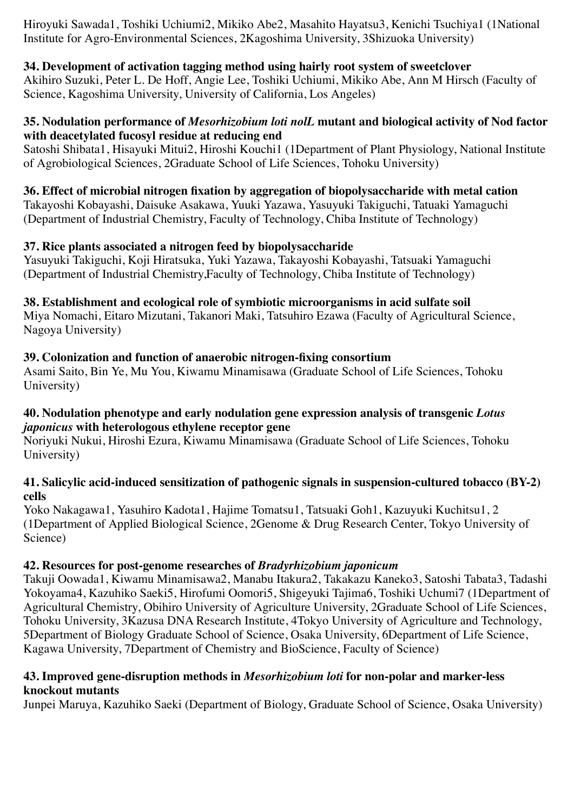Hiroyuki Sawada1, Toshiki Uchiumi2, Mikiko Abe2, Masahito Hayatsu3, Kenichi Tsuchiya1 (1National Institute for Agro-Environmental Sciences, 2Kagoshima University, 3Shizuoka University)

# **34. Development of activation tagging method using hairly root system of sweetclover**

Akihiro Suzuki, Peter L. De Hoff, Angie Lee, Toshiki Uchiumi, Mikiko Abe, Ann M Hirsch (Faculty of Science, Kagoshima University, University of California, Los Angeles)

### **35. Nodulation performance of** *Mesorhizobium loti nolL* **mutant and biological activity of Nod factor with deacetylated fucosyl residue at reducing end**

Satoshi Shibata1, Hisayuki Mitui2, Hiroshi Kouchi1 (1Department of Plant Physiology, National Institute of Agrobiological Sciences, 2Graduate School of Life Sciences, Tohoku University)

# **36. Effect of microbial nitrogen fixation by aggregation of biopolysaccharide with metal cation**

Takayoshi Kobayashi, Daisuke Asakawa, Yuuki Yazawa, Yasuyuki Takiguchi, Tatuaki Yamaguchi (Department of Industrial Chemistry, Faculty of Technology, Chiba Institute of Technology)

# **37. Rice plants associated a nitrogen feed by biopolysaccharide**

Yasuyuki Takiguchi, Koji Hiratsuka, Yuki Yazawa, Takayoshi Kobayashi, Tatsuaki Yamaguchi (Department of Industrial Chemistry,Faculty of Technology, Chiba Institute of Technology)

# **38. Establishment and ecological role of symbiotic microorganisms in acid sulfate soil**

Miya Nomachi, Eitaro Mizutani, Takanori Maki, Tatsuhiro Ezawa (Faculty of Agricultural Science, Nagoya University)

# **39. Colonization and function of anaerobic nitrogen-fixing consortium**

Asami Saito, Bin Ye, Mu You, Kiwamu Minamisawa (Graduate School of Life Sciences, Tohoku University)

### **40. Nodulation phenotype and early nodulation gene expression analysis of transgenic** *Lotus japonicus* **with heterologous ethylene receptor gene**

Noriyuki Nukui, Hiroshi Ezura, Kiwamu Minamisawa (Graduate School of Life Sciences, Tohoku University)

### **41. Salicylic acid-induced sensitization of pathogenic signals in suspension-cultured tobacco (BY-2) cells**

Yoko Nakagawa1, Yasuhiro Kadota1, Hajime Tomatsu1, Tatsuaki Goh1, Kazuyuki Kuchitsu1, 2 (1Department of Applied Biological Science, 2Genome & Drug Research Center, Tokyo University of Science)

# **42. Resources for post-genome researches of** *Bradyrhizobium japonicum*

Takuji Oowada1, Kiwamu Minamisawa2, Manabu Itakura2, Takakazu Kaneko3, Satoshi Tabata3, Tadashi Yokoyama4, Kazuhiko Saeki5, Hirofumi Oomori5, Shigeyuki Tajima6, Toshiki Uchumi7 (1Department of Agricultural Chemistry, Obihiro University of Agriculture University, 2Graduate School of Life Sciences, Tohoku University, 3Kazusa DNA Research Institute, 4Tokyo University of Agriculture and Technology, 5Department of Biology Graduate School of Science, Osaka University, 6Department of Life Science, Kagawa University, 7Department of Chemistry and BioScience, Faculty of Science)

### **43. Improved gene-disruption methods in** *Mesorhizobium loti* **for non-polar and marker-less knockout mutants**

Junpei Maruya, Kazuhiko Saeki (Department of Biology, Graduate School of Science, Osaka University)